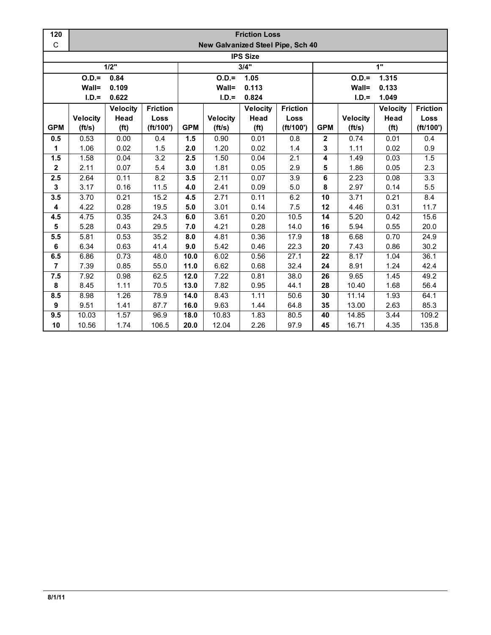| 120             | <b>Friction Loss</b> |                   |                 |                  |                                   |                   |                 |                         |                 |                   |                  |  |  |
|-----------------|----------------------|-------------------|-----------------|------------------|-----------------------------------|-------------------|-----------------|-------------------------|-----------------|-------------------|------------------|--|--|
| C               |                      |                   |                 |                  | New Galvanized Steel Pipe, Sch 40 |                   |                 |                         |                 |                   |                  |  |  |
| <b>IPS Size</b> |                      |                   |                 |                  |                                   |                   |                 |                         |                 |                   |                  |  |  |
|                 |                      | 1/2"              |                 |                  |                                   | 3/4"              |                 |                         |                 | 1"                |                  |  |  |
|                 | $O.D. =$             | 0.84              |                 | $O.D. =$<br>1.05 |                                   |                   |                 | $O.D.=$<br>1.315        |                 |                   |                  |  |  |
|                 | Wall=                | 0.109             |                 |                  | Wall=                             | 0.113             |                 |                         | Wall=           | 0.133             |                  |  |  |
|                 | $I.D.=$              | 0.622             |                 |                  | $I.D.=$                           | 0.824             |                 |                         | $I.D.=$         | 1.049             |                  |  |  |
|                 |                      | <b>Velocity</b>   | <b>Friction</b> |                  |                                   | <b>Velocity</b>   | <b>Friction</b> |                         |                 | <b>Velocity</b>   | <b>Friction</b>  |  |  |
|                 | <b>Velocity</b>      | Head              | Loss            |                  | <b>Velocity</b>                   | Head              | Loss            |                         | <b>Velocity</b> | Head              | Loss             |  |  |
| <b>GPM</b>      | (ft/s)               | (f <sup>t</sup> ) | (ft/100')       | <b>GPM</b>       | (ft/s)                            | (f <sup>t</sup> ) | (ft/100')       | <b>GPM</b>              | (ft/s)          | (f <sup>t</sup> ) | (ft/100')        |  |  |
| 0.5             | 0.53                 | 0.00              | 0.4             | 1.5              | 0.90                              | 0.01              | 0.8             | $\mathbf 2$             | 0.74            | 0.01              | 0.4              |  |  |
| 1               | 1.06                 | 0.02              | 1.5             | 2.0              | 1.20                              | 0.02              | 1.4             | 3                       | 1.11            | 0.02              | 0.9              |  |  |
| 1.5             | 1.58                 | 0.04              | 3.2             | 2.5              | 1.50                              | 0.04              | 2.1             | 4                       | 1.49            | 0.03              | 1.5              |  |  |
| $\mathbf{2}$    | 2.11                 | 0.07              | 5.4             | 3.0              | 1.81                              | 0.05              | 2.9             | 5                       | 1.86            | 0.05              | 2.3              |  |  |
| 2.5             | 2.64                 | 0.11              | 8.2             | 3.5              | 2.11                              | 0.07              | 3.9             | $\overline{\mathbf{6}}$ | 2.23            | 0.08              | $\overline{3.3}$ |  |  |
| 3               | 3.17                 | 0.16              | 11.5            | 4.0              | 2.41                              | 0.09              | 5.0             | 8                       | 2.97            | 0.14              | 5.5              |  |  |
| 3.5             | 3.70                 | 0.21              | 15.2            | 4.5              | 2.71                              | 0.11              | 6.2             | 10                      | 3.71            | 0.21              | 8.4              |  |  |
| 4               | 4.22                 | 0.28              | 19.5            | 5.0              | 3.01                              | 0.14              | 7.5             | 12                      | 4.46            | 0.31              | 11.7             |  |  |
| 4.5             | 4.75                 | 0.35              | 24.3            | 6.0              | 3.61                              | 0.20              | 10.5            | 14                      | 5.20            | 0.42              | 15.6             |  |  |
| 5               | 5.28                 | 0.43              | 29.5            | 7.0              | 4.21                              | 0.28              | 14.0            | 16                      | 5.94            | 0.55              | 20.0             |  |  |
| 5.5             | 5.81                 | 0.53              | 35.2            | 8.0              | 4.81                              | 0.36              | 17.9            | 18                      | 6.68            | 0.70              | 24.9             |  |  |
| 6               | 6.34                 | 0.63              | 41.4            | 9.0              | 5.42                              | 0.46              | 22.3            | 20                      | 7.43            | 0.86              | 30.2             |  |  |
| 6.5             | 6.86                 | 0.73              | 48.0            | 10.0             | 6.02                              | 0.56              | 27.1            | 22                      | 8.17            | 1.04              | 36.1             |  |  |
| $\overline{7}$  | 7.39                 | 0.85              | 55.0            | 11.0             | 6.62                              | 0.68              | 32.4            | 24                      | 8.91            | 1.24              | 42.4             |  |  |
| 7.5             | 7.92                 | 0.98              | 62.5            | 12.0             | 7.22                              | 0.81              | 38.0            | 26                      | 9.65            | 1.45              | 49.2             |  |  |
| 8               | 8.45                 | 1.11              | 70.5            | 13.0             | 7.82                              | 0.95              | 44.1            | 28                      | 10.40           | 1.68              | 56.4             |  |  |
| 8.5             | 8.98                 | 1.26              | 78.9            | 14.0             | 8.43                              | 1.11              | 50.6            | 30                      | 11.14           | 1.93              | 64.1             |  |  |
| 9               | 9.51                 | 1.41              | 87.7            | 16.0             | 9.63                              | 1.44              | 64.8            | 35                      | 13.00           | 2.63              | 85.3             |  |  |
| 9.5             | 10.03                | 1.57              | 96.9            | 18.0             | 10.83                             | 1.83              | 80.5            | 40                      | 14.85           | 3.44              | 109.2            |  |  |
| 10              | 10.56                | 1.74              | 106.5           | 20.0             | 12.04                             | 2.26              | 97.9            | 45                      | 16.71           | 4.35              | 135.8            |  |  |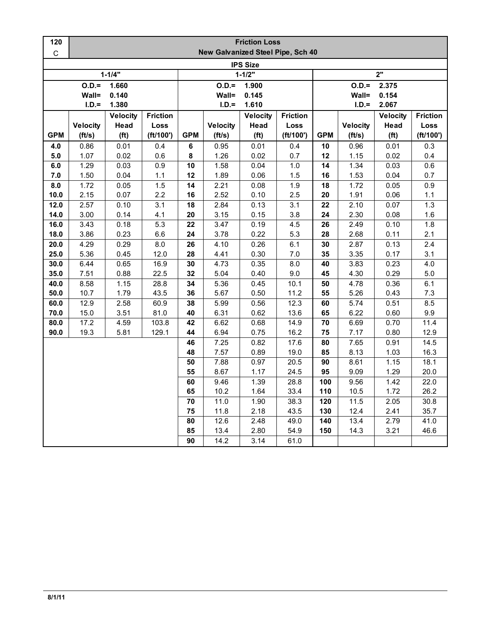| 120             | <b>Friction Loss</b>              |                   |                 |                     |                   |                   |                 |                  |                  |                   |                  |  |  |
|-----------------|-----------------------------------|-------------------|-----------------|---------------------|-------------------|-------------------|-----------------|------------------|------------------|-------------------|------------------|--|--|
| $\mathsf C$     | New Galvanized Steel Pipe, Sch 40 |                   |                 |                     |                   |                   |                 |                  |                  |                   |                  |  |  |
| <b>IPS Size</b> |                                   |                   |                 |                     |                   |                   |                 |                  |                  |                   |                  |  |  |
|                 |                                   | $1 - 1/4"$        |                 | $1 - 1/2"$          |                   |                   |                 | 2"               |                  |                   |                  |  |  |
|                 | $O.D.=$                           | 1.660             |                 |                     | $O.D.=$<br>1.900  |                   |                 |                  | $O.D.=$<br>2.375 |                   |                  |  |  |
|                 | Wall=                             | 0.140             |                 | Wall=<br>0.145      |                   |                   |                 | Wall=<br>0.154   |                  |                   |                  |  |  |
|                 | $I.D.=$                           | 1.380             |                 |                     | $I.D.=$           | 1.610             |                 | $I.D.=$<br>2.067 |                  |                   |                  |  |  |
|                 |                                   | <b>Velocity</b>   | <b>Friction</b> |                     |                   | <b>Velocity</b>   | <b>Friction</b> |                  |                  | <b>Velocity</b>   | <b>Friction</b>  |  |  |
|                 | <b>Velocity</b>                   | Head              | Loss            |                     | <b>Velocity</b>   | Head              | Loss            |                  | <b>Velocity</b>  | Head              | Loss             |  |  |
| <b>GPM</b>      | (ft/s)                            | (f <sup>t</sup> ) | (ft/100')       | <b>GPM</b>          | (ft/s)            | (f <sup>t</sup> ) | (ft/100')       | <b>GPM</b>       | (ft/s)           | (f <sup>t</sup> ) | (ft/100')        |  |  |
| 4.0             | 0.86                              | 0.01              | 0.4             | 6                   | 0.95              | 0.01              | 0.4             | 10               | 0.96             | 0.01              | 0.3              |  |  |
| 5.0             | 1.07                              | 0.02              | 0.6             | 8                   | 1.26              | 0.02              | 0.7             | 12               | 1.15             | 0.02              | 0.4              |  |  |
| 6.0             | 1.29                              | 0.03              | 0.9             | 10                  | 1.58              | 0.04              | 1.0             | 14               | 1.34             | 0.03              | 0.6              |  |  |
| 7.0             | 1.50                              | 0.04              | 1.1             | 12                  | 1.89              | 0.06              | 1.5             | 16               | 1.53             | 0.04              | 0.7              |  |  |
| 8.0             | 1.72                              | 0.05              | 1.5             | 14                  | 2.21              | 0.08              | 1.9             | 18               | 1.72             | 0.05              | 0.9              |  |  |
| 10.0<br>12.0    | 2.15<br>2.57                      | 0.07              | 2.2<br>3.1      | 16<br>18            | 2.52              | 0.10<br>0.13      | 2.5<br>3.1      | 20<br>22         | 1.91<br>2.10     | 0.06              | $1.1$<br>1.3     |  |  |
| 14.0            | 3.00                              | 0.10<br>0.14      | 4.1             | 20                  | 2.84<br>3.15      | 0.15              | 3.8             | 24               | 2.30             | 0.07<br>0.08      | 1.6              |  |  |
| 16.0            | 3.43                              | 0.18              | 5.3             | 22                  | 3.47              | 0.19              | 4.5             | 26               | 2.49             | 0.10              | 1.8              |  |  |
| 18.0            | 3.86                              | 0.23              | 6.6             | 24                  | 3.78              | 0.22              | 5.3             | 28               | 2.68             | 0.11              | 2.1              |  |  |
| 20.0            | 4.29                              | 0.29              | 8.0             | 26                  | $\overline{4}.10$ | 0.26              | 6.1             | 30               | 2.87             | 0.13              | $\overline{2.4}$ |  |  |
| 25.0            | 5.36                              | 0.45              | 12.0            | 28                  | 4.41              | 0.30              | 7.0             | 35               | 3.35             | 0.17              | 3.1              |  |  |
| 30.0            | 6.44                              | 0.65              | 16.9            | 30                  | 4.73              | 0.35              | 8.0             | 40               | 3.83             | 0.23              | 4.0              |  |  |
| 35.0            | 7.51                              | 0.88              | 22.5            | 32                  | 5.04              | 0.40              | 9.0             | 45               | 4.30             | 0.29              | $5.0\,$          |  |  |
| 40.0            | 8.58                              | 1.15              | 28.8            | 34                  | 5.36              | 0.45              | 10.1            | 50               | 4.78             | 0.36              | 6.1              |  |  |
| 50.0            | 10.7                              | 1.79              | 43.5            | 36                  | 5.67              | 0.50              | 11.2            | 55               | 5.26             | 0.43              | 7.3              |  |  |
| 60.0            | 12.9                              | 2.58              | 60.9            | 38                  | 5.99              | 0.56              | 12.3            | 60               | 5.74             | 0.51              | 8.5              |  |  |
| 70.0            | 15.0                              | 3.51              | 81.0            | 40                  | 6.31              | 0.62              | 13.6            | 65               | 6.22             | 0.60              | 9.9              |  |  |
| 80.0            | 17.2                              | 4.59              | 103.8           | 42                  | 6.62              | 0.68              | 14.9            | 70               | 6.69             | 0.70              | 11.4             |  |  |
| 90.0            | 19.3                              | 5.81              | 129.1           | 44                  | 6.94              | 0.75              | 16.2            | 75               | 7.17             | 0.80              | 12.9             |  |  |
|                 |                                   |                   |                 | 46                  | 7.25              | 0.82              | 17.6            | 80               | 7.65             | 0.91              | 14.5             |  |  |
|                 |                                   |                   |                 | 48                  | 7.57              | 0.89              | 19.0            | 85               | 8.13             | 1.03              | 16.3             |  |  |
|                 |                                   |                   |                 | 50                  | 7.88              | 0.97              | 20.5            | 90               | 8.61             | 1.15              | 18.1             |  |  |
|                 |                                   |                   |                 | 55                  | 8.67              | 1.17              | 24.5            | 95               | 9.09             | 1.29              | 20.0             |  |  |
|                 |                                   |                   |                 | 60<br>65            | 9.46              | 1.39              | 28.8            | 100              | 9.56             | 1.42              | 22.0             |  |  |
|                 |                                   |                   |                 | 70                  | 10.2<br>11.0      | 1.64<br>1.90      | 33.4<br>38.3    | 110<br>120       | 10.5<br>11.5     | 1.72<br>2.05      | 26.2<br>30.8     |  |  |
|                 |                                   |                   |                 | 75                  | 11.8              | 2.18              | 43.5            | 130              | 12.4             | 2.41              | 35.7             |  |  |
|                 |                                   |                   |                 | $\overline{\bf 80}$ | 12.6              | 2.48              | 49.0            | 140              | 13.4             | 2.79              | 41.0             |  |  |
|                 |                                   |                   |                 | 85                  | 13.4              | 2.80              | 54.9            | 150              | 14.3             | 3.21              | 46.6             |  |  |
|                 |                                   |                   |                 | 90                  | 14.2              | 3.14              | 61.0            |                  |                  |                   |                  |  |  |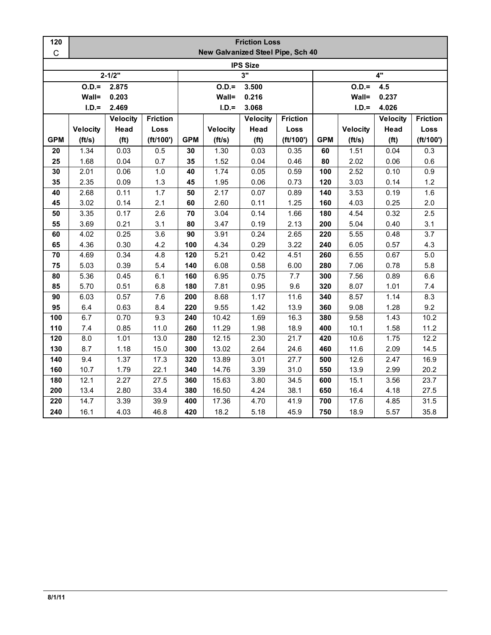| 120          | <b>Friction Loss</b> |                   |                 |            |                 |                                   |                 |                |                 |                   |                 |  |
|--------------|----------------------|-------------------|-----------------|------------|-----------------|-----------------------------------|-----------------|----------------|-----------------|-------------------|-----------------|--|
| $\mathsf{C}$ |                      |                   |                 |            |                 | New Galvanized Steel Pipe, Sch 40 |                 |                |                 |                   |                 |  |
|              |                      |                   |                 |            |                 | <b>IPS Size</b>                   |                 |                |                 |                   |                 |  |
|              |                      | $2 - 1/2"$        |                 | 3"         |                 |                                   |                 | 4"             |                 |                   |                 |  |
|              | $O.D. =$<br>2.875    |                   |                 |            | $O.D.=$         | 3.500                             |                 | $O.D.=$<br>4.5 |                 |                   |                 |  |
|              | Wall=                | 0.203             |                 |            | Wall=           | 0.216                             |                 |                | Wall=           | 0.237             |                 |  |
|              | $I.D.=$              | 2.469             |                 |            | $I.D.=$         | 3.068                             |                 |                | $I.D.=$         | 4.026             |                 |  |
|              |                      | <b>Velocity</b>   | <b>Friction</b> |            |                 | <b>Velocity</b>                   | <b>Friction</b> |                |                 | <b>Velocity</b>   | <b>Friction</b> |  |
|              | <b>Velocity</b>      | Head              | Loss            |            | <b>Velocity</b> | Head                              | Loss            |                | <b>Velocity</b> | Head              | Loss            |  |
| <b>GPM</b>   | (ft/s)               | (f <sup>t</sup> ) | (ft/100')       | <b>GPM</b> | (ft/s)          | (f <sup>t</sup> )                 | (ft/100')       | <b>GPM</b>     | (ft/s)          | (f <sup>t</sup> ) | (ft/100')       |  |
| 20           | 1.34                 | 0.03              | 0.5             | 30         | 1.30            | 0.03                              | 0.35            | 60             | 1.51            | 0.04              | 0.3             |  |
| 25           | 1.68                 | 0.04              | 0.7             | 35         | 1.52            | 0.04                              | 0.46            | 80             | 2.02            | 0.06              | 0.6             |  |
| 30           | 2.01                 | 0.06              | 1.0             | 40         | 1.74            | 0.05                              | 0.59            | 100            | 2.52            | 0.10              | 0.9             |  |
| 35           | 2.35                 | 0.09              | 1.3             | 45         | 1.95            | 0.06                              | 0.73            | 120            | 3.03            | 0.14              | 1.2             |  |
| 40           | 2.68                 | 0.11              | 1.7             | 50         | 2.17            | 0.07                              | 0.89            | 140            | 3.53            | 0.19              | 1.6             |  |
| 45           | 3.02                 | 0.14              | 2.1             | 60         | 2.60            | 0.11                              | 1.25            | 160            | 4.03            | 0.25              | 2.0             |  |
| 50           | 3.35                 | 0.17              | 2.6             | 70         | 3.04            | 0.14                              | 1.66            | 180            | 4.54            | 0.32              | 2.5             |  |
| 55           | 3.69                 | 0.21              | 3.1             | 80         | 3.47            | 0.19                              | 2.13            | 200            | 5.04            | 0.40              | 3.1             |  |
| 60           | 4.02                 | 0.25              | 3.6             | 90         | 3.91            | 0.24                              | 2.65            | 220            | 5.55            | 0.48              | 3.7             |  |
| 65           | 4.36                 | 0.30              | 4.2             | 100        | 4.34            | 0.29                              | 3.22            | 240            | 6.05            | 0.57              | 4.3             |  |
| 70           | 4.69                 | 0.34              | 4.8             | 120        | 5.21            | 0.42                              | 4.51            | 260            | 6.55            | 0.67              | 5.0             |  |
| 75           | 5.03                 | 0.39              | 5.4             | 140        | 6.08            | 0.58                              | 6.00            | 280            | 7.06            | 0.78              | 5.8             |  |
| 80           | 5.36                 | 0.45              | 6.1             | 160        | 6.95            | 0.75                              | 7.7             | 300            | 7.56            | 0.89              | $6.6\,$         |  |
| 85           | 5.70                 | 0.51              | 6.8             | 180        | 7.81            | 0.95                              | 9.6             | 320            | 8.07            | 1.01              | 7.4             |  |
| 90           | 6.03                 | 0.57              | 7.6             | 200        | 8.68            | 1.17                              | 11.6            | 340            | 8.57            | 1.14              | 8.3             |  |
| 95           | 6.4                  | 0.63              | 8.4             | 220        | 9.55            | 1.42                              | 13.9            | 360            | 9.08            | 1.28              | 9.2             |  |
| 100          | 6.7                  | 0.70              | 9.3             | 240        | 10.42           | 1.69                              | 16.3            | 380            | 9.58            | 1.43              | 10.2            |  |
| 110          | 7.4                  | 0.85              | 11.0            | 260        | 11.29           | 1.98                              | 18.9            | 400            | 10.1            | 1.58              | 11.2            |  |
| 120          | 8.0                  | 1.01              | 13.0            | 280        | 12.15           | 2.30                              | 21.7            | 420            | 10.6            | 1.75              | 12.2            |  |
| 130          | 8.7                  | 1.18              | 15.0            | 300        | 13.02           | 2.64                              | 24.6            | 460            | 11.6            | 2.09              | 14.5            |  |
| 140          | 9.4                  | 1.37              | 17.3            | 320        | 13.89           | 3.01                              | 27.7            | 500            | 12.6            | 2.47              | 16.9            |  |
| 160          | 10.7                 | 1.79              | 22.1            | 340        | 14.76           | 3.39                              | 31.0            | 550            | 13.9            | 2.99              | 20.2            |  |
| 180          | 12.1                 | 2.27              | 27.5            | 360        | 15.63           | 3.80                              | 34.5            | 600            | 15.1            | 3.56              | 23.7            |  |
| 200          | 13.4                 | 2.80              | 33.4            | 380        | 16.50           | 4.24                              | 38.1            | 650            | 16.4            | 4.18              | 27.5            |  |
| 220          | 14.7                 | 3.39              | 39.9            | 400        | 17.36           | 4.70                              | 41.9            | 700            | 17.6            | 4.85              | 31.5            |  |
| 240          | 16.1                 | 4.03              | 46.8            | 420        | 18.2            | 5.18                              | 45.9            | 750            | 18.9            | 5.57              | 35.8            |  |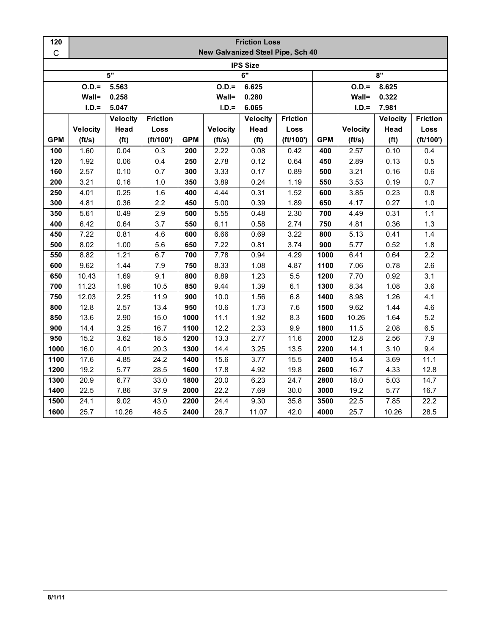| 120         | <b>Friction Loss</b> |                   |                 |            |                                   |                   |                 |                  |                 |                   |                 |  |
|-------------|----------------------|-------------------|-----------------|------------|-----------------------------------|-------------------|-----------------|------------------|-----------------|-------------------|-----------------|--|
| $\mathsf C$ |                      |                   |                 |            | New Galvanized Steel Pipe, Sch 40 |                   |                 |                  |                 |                   |                 |  |
|             |                      |                   |                 |            |                                   | <b>IPS Size</b>   |                 |                  |                 |                   |                 |  |
|             |                      | 5"                |                 | 6"         |                                   |                   |                 | 8"               |                 |                   |                 |  |
|             | $O.D.=$<br>5.563     |                   |                 |            | $O.D. =$                          | 6.625             |                 | $O.D.=$<br>8.625 |                 |                   |                 |  |
|             | Wall=                | 0.258             |                 |            | Wall=                             | 0.280             |                 |                  | Wall=           | 0.322             |                 |  |
|             | $I.D.=$              | 5.047             |                 |            | $I.D.=$                           | 6.065             |                 |                  | $I.D.=$         | 7.981             |                 |  |
|             |                      | <b>Velocity</b>   | <b>Friction</b> |            |                                   | <b>Velocity</b>   | <b>Friction</b> |                  |                 | <b>Velocity</b>   | <b>Friction</b> |  |
|             | <b>Velocity</b>      | Head              | Loss            |            | <b>Velocity</b>                   | Head              | Loss            |                  | <b>Velocity</b> | Head              | Loss            |  |
| <b>GPM</b>  | (ft/s)               | (f <sup>t</sup> ) | (ft/100')       | <b>GPM</b> | (ft/s)                            | (f <sup>t</sup> ) | (ft/100')       | <b>GPM</b>       | (ft/s)          | (f <sup>t</sup> ) | (ft/100')       |  |
| 100         | 1.60                 | 0.04              | 0.3             | 200        | 2.22                              | 0.08              | 0.42            | 400              | 2.57            | 0.10              | 0.4             |  |
| 120         | 1.92                 | 0.06              | 0.4             | 250        | 2.78                              | 0.12              | 0.64            | 450              | 2.89            | 0.13              | 0.5             |  |
| 160         | 2.57                 | 0.10              | 0.7             | 300        | 3.33                              | 0.17              | 0.89            | 500              | 3.21            | 0.16              | 0.6             |  |
| 200         | 3.21                 | 0.16              | 1.0             | 350        | 3.89                              | 0.24              | 1.19            | 550              | 3.53            | 0.19              | 0.7             |  |
| 250         | 4.01                 | 0.25              | 1.6             | 400        | 4.44                              | 0.31              | 1.52            | 600              | 3.85            | 0.23              | 0.8             |  |
| 300         | 4.81                 | 0.36              | 2.2             | 450        | 5.00                              | 0.39              | 1.89            | 650              | 4.17            | 0.27              | $1.0$           |  |
| 350         | 5.61                 | 0.49              | 2.9             | 500        | 5.55                              | 0.48              | 2.30            | 700              | 4.49            | 0.31              | 1.1             |  |
| 400         | 6.42                 | 0.64              | 3.7             | 550        | 6.11                              | 0.58              | 2.74            | 750              | 4.81            | 0.36              | $1.3$           |  |
| 450         | 7.22                 | 0.81              | 4.6             | 600        | 6.66                              | 0.69              | 3.22            | 800              | 5.13            | 0.41              | 1.4             |  |
| 500         | 8.02                 | 1.00              | 5.6             | 650        | 7.22                              | 0.81              | 3.74            | 900              | 5.77            | 0.52              | 1.8             |  |
| 550         | 8.82                 | 1.21              | 6.7             | 700        | 7.78                              | 0.94              | 4.29            | 1000             | 6.41            | 0.64              | 2.2             |  |
| 600         | 9.62                 | 1.44              | 7.9             | 750        | 8.33                              | 1.08              | 4.87            | 1100             | 7.06            | 0.78              | 2.6             |  |
| 650         | 10.43                | 1.69              | 9.1             | 800        | 8.89                              | 1.23              | 5.5             | 1200             | 7.70            | 0.92              | 3.1             |  |
| 700         | 11.23                | 1.96              | 10.5            | 850        | 9.44                              | 1.39              | 6.1             | 1300             | 8.34            | 1.08              | 3.6             |  |
| 750         | 12.03                | 2.25              | 11.9            | 900        | 10.0                              | 1.56              | 6.8             | 1400             | 8.98            | 1.26              | 4.1             |  |
| 800         | 12.8                 | 2.57              | 13.4            | 950        | 10.6                              | 1.73              | 7.6             | 1500             | 9.62            | 1.44              | 4.6             |  |
| 850         | 13.6                 | 2.90              | 15.0            | 1000       | 11.1                              | 1.92              | 8.3             | 1600             | 10.26           | 1.64              | 5.2             |  |
| 900         | 14.4                 | 3.25              | 16.7            | 1100       | 12.2                              | 2.33              | 9.9             | 1800             | 11.5            | 2.08              | 6.5             |  |
| 950         | 15.2                 | 3.62              | 18.5            | 1200       | 13.3                              | 2.77              | 11.6            | 2000             | 12.8            | 2.56              | $7.9$           |  |
| 1000        | 16.0                 | 4.01              | 20.3            | 1300       | 14.4                              | 3.25              | 13.5            | 2200             | 14.1            | 3.10              | 9.4             |  |
| 1100        | 17.6                 | 4.85              | 24.2            | 1400       | 15.6                              | 3.77              | 15.5            | 2400             | 15.4            | 3.69              | 11.1            |  |
| 1200        | 19.2                 | 5.77              | 28.5            | 1600       | 17.8                              | 4.92              | 19.8            | 2600             | 16.7            | 4.33              | 12.8            |  |
| 1300        | 20.9                 | 6.77              | 33.0            | 1800       | 20.0                              | 6.23              | 24.7            | 2800             | 18.0            | 5.03              | 14.7            |  |
| 1400        | 22.5                 | 7.86              | 37.9            | 2000       | 22.2                              | 7.69              | 30.0            | 3000             | 19.2            | 5.77              | 16.7            |  |
| 1500        | 24.1                 | 9.02              | 43.0            | 2200       | 24.4                              | 9.30              | 35.8            | 3500             | 22.5            | 7.85              | 22.2            |  |
| 1600        | 25.7                 | 10.26             | 48.5            | 2400       | 26.7                              | 11.07             | 42.0            | 4000             | 25.7            | 10.26             | 28.5            |  |